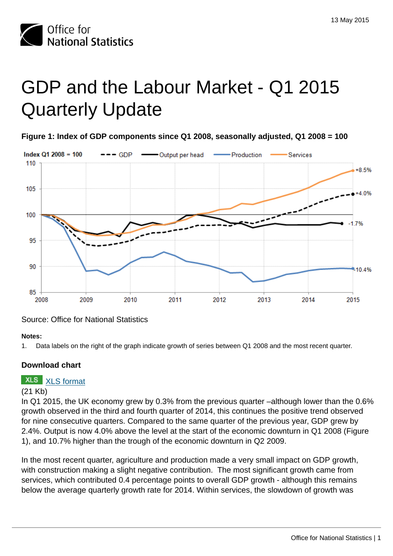

# GDP and the Labour Market - Q1 2015 Quarterly Update

**Figure 1: Index of GDP components since Q1 2008, seasonally adjusted, Q1 2008 = 100**



Source: Office for National Statistics

#### **Notes:**

1. Data labels on the right of the graph indicate growth of series between Q1 2008 and the most recent quarter.

### **Download chart**

### **XLS** [XLS format](http://www.ons.gov.uk:80/ons/rel/elmr/gdp-and-the-labour-market/q1-2015--quarterly-update/cd-fig1.xls)

#### (21 Kb)

In Q1 2015, the UK economy grew by 0.3% from the previous quarter –although lower than the 0.6% growth observed in the third and fourth quarter of 2014, this continues the positive trend observed for nine consecutive quarters. Compared to the same quarter of the previous year, GDP grew by 2.4%. Output is now 4.0% above the level at the start of the economic downturn in Q1 2008 (Figure 1), and 10.7% higher than the trough of the economic downturn in Q2 2009.

In the most recent quarter, agriculture and production made a very small impact on GDP growth, with construction making a slight negative contribution. The most significant growth came from services, which contributed 0.4 percentage points to overall GDP growth - although this remains below the average quarterly growth rate for 2014. Within services, the slowdown of growth was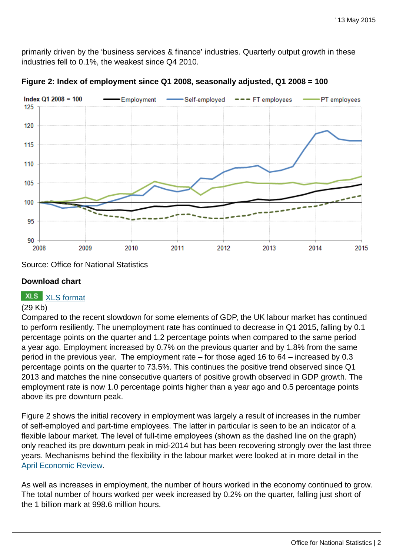primarily driven by the 'business services & finance' industries. Quarterly output growth in these industries fell to 0.1%, the weakest since Q4 2010.



**Figure 2: Index of employment since Q1 2008, seasonally adjusted, Q1 2008 = 100**

Source: Office for National Statistics

#### **Download chart**

# **XLS** [XLS format](http://www.ons.gov.uk:80/ons/rel/elmr/gdp-and-the-labour-market/q1-2015--quarterly-update/cd-fig2.xls)

#### (29 Kb)

Compared to the recent slowdown for some elements of GDP, the UK labour market has continued to perform resiliently. The unemployment rate has continued to decrease in Q1 2015, falling by 0.1 percentage points on the quarter and 1.2 percentage points when compared to the same period a year ago. Employment increased by 0.7% on the previous quarter and by 1.8% from the same period in the previous year. The employment rate – for those aged 16 to 64 – increased by 0.3 percentage points on the quarter to 73.5%. This continues the positive trend observed since Q1 2013 and matches the nine consecutive quarters of positive growth observed in GDP growth. The employment rate is now 1.0 percentage points higher than a year ago and 0.5 percentage points above its pre downturn peak.

Figure 2 shows the initial recovery in employment was largely a result of increases in the number of self-employed and part-time employees. The latter in particular is seen to be an indicator of a flexible labour market. The level of full-time employees (shown as the dashed line on the graph) only reached its pre downturn peak in mid-2014 but has been recovering strongly over the last three years. Mechanisms behind the flexibility in the labour market were looked at in more detail in the [April Economic Review](http://www.ons.gov.uk:80/ons/rel/elmr/economic-review/april-2015.html).

As well as increases in employment, the number of hours worked in the economy continued to grow. The total number of hours worked per week increased by 0.2% on the quarter, falling just short of the 1 billion mark at 998.6 million hours.